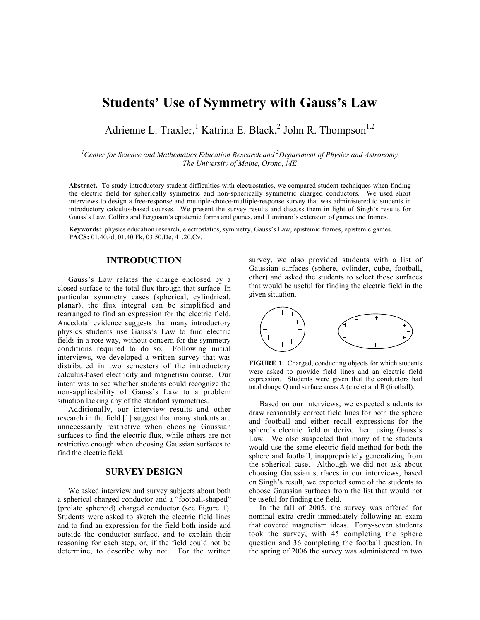# **Students' Use of Symmetry with Gauss's Law**

Adrienne L. Traxler, <sup>1</sup> Katrina E. Black, <sup>2</sup> John R. Thompson<sup>1,2</sup>

*1 Center for Science and Mathematics Education Research and 2 Department of Physics and Astronomy The University of Maine, Orono, ME*

**Abstract.** To study introductory student difficulties with electrostatics, we compared student techniques when finding the electric field for spherically symmetric and non-spherically symmetric charged conductors. We used short interviews to design a free-response and multiple-choice-multiple-response survey that was administered to students in introductory calculus-based courses. We present the survey results and discuss them in light of Singh's results for Gauss's Law, Collins and Ferguson's epistemic forms and games, and Tuminaro's extension of games and frames.

**Keywords:** physics education research, electrostatics, symmetry, Gauss's Law, epistemic frames, epistemic games. **PACS:** 01.40.-d, 01.40.Fk, 03.50.De, 41.20.Cv.

# **INTRODUCTION**

Gauss's Law relates the charge enclosed by a closed surface to the total flux through that surface. In particular symmetry cases (spherical, cylindrical, planar), the flux integral can be simplified and rearranged to find an expression for the electric field. Anecdotal evidence suggests that many introductory physics students use Gauss's Law to find electric fields in a rote way, without concern for the symmetry conditions required to do so. Following initial interviews, we developed a written survey that was distributed in two semesters of the introductory calculus-based electricity and magnetism course. Our intent was to see whether students could recognize the non-applicability of Gauss's Law to a problem situation lacking any of the standard symmetries.

Additionally, our interview results and other research in the field [1] suggest that many students are unnecessarily restrictive when choosing Gaussian surfaces to find the electric flux, while others are not restrictive enough when choosing Gaussian surfaces to find the electric field.

## **SURVEY DESIGN**

We asked interview and survey subjects about both a spherical charged conductor and a "football-shaped" (prolate spheroid) charged conductor (see Figure 1). Students were asked to sketch the electric field lines and to find an expression for the field both inside and outside the conductor surface, and to explain their reasoning for each step, or, if the field could not be determine, to describe why not. For the written survey, we also provided students with a list of Gaussian surfaces (sphere, cylinder, cube, football, other) and asked the students to select those surfaces that would be useful for finding the electric field in the given situation.



**FIGURE 1.** Charged, conducting objects for which students were asked to provide field lines and an electric field expression. Students were given that the conductors had total charge Q and surface areas A (circle) and B (football).

Based on our interviews, we expected students to draw reasonably correct field lines for both the sphere and football and either recall expressions for the sphere's electric field or derive them using Gauss's Law. We also suspected that many of the students would use the same electric field method for both the sphere and football, inappropriately generalizing from the spherical case. Although we did not ask about choosing Gaussian surfaces in our interviews, based on Singh's result, we expected some of the students to choose Gaussian surfaces from the list that would not be useful for finding the field.

In the fall of 2005, the survey was offered for nominal extra credit immediately following an exam that covered magnetism ideas. Forty-seven students took the survey, with 45 completing the sphere question and 36 completing the football question. In the spring of 2006 the survey was administered in two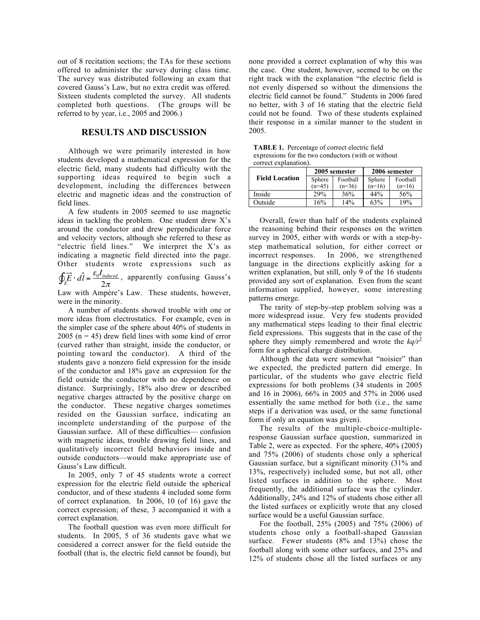out of 8 recitation sections; the TAs for these sections offered to administer the survey during class time. The survey was distributed following an exam that covered Gauss's Law, but no extra credit was offered. Sixteen students completed the survey. All students completed both questions. (The groups will be referred to by year, i.e., 2005 and 2006.)

### **RESULTS AND DISCUSSION**

Although we were primarily interested in how students developed a mathematical expression for the electric field, many students had difficulty with the supporting ideas required to begin such a development, including the differences between electric and magnetic ideas and the construction of field lines.

A few students in 2005 seemed to use magnetic ideas in tackling the problem. One student drew X's around the conductor and drew perpendicular force and velocity vectors, although she referred to these as "electric field lines." We interpret the  $X$ 's as indicating a magnetic field directed into the page. Other students wrote expressions such as  $\oint_{E} \vec{E} \cdot d\vec{l} = \frac{\varepsilon_0 I_{induced}}{2\pi}$ , apparently confusing Gauss's

Law with Ampère's Law. These students, however, were in the minority.

A number of students showed trouble with one or more ideas from electrostatics. For example, even in the simpler case of the sphere about 40% of students in  $2005$  (n = 45) drew field lines with some kind of error (curved rather than straight, inside the conductor, or pointing toward the conductor). A third of the students gave a nonzero field expression for the inside of the conductor and 18% gave an expression for the field outside the conductor with no dependence on distance. Surprisingly, 18% also drew or described negative charges attracted by the positive charge on the conductor. These negative charges sometimes resided on the Gaussian surface, indicating an incomplete understanding of the purpose of the Gaussian surface. All of these difficulties— confusion with magnetic ideas, trouble drawing field lines, and qualitatively incorrect field behaviors inside and outside conductors—would make appropriate use of Gauss's Law difficult.

In 2005, only 7 of 45 students wrote a correct expression for the electric field outside the spherical conductor, and of these students 4 included some form of correct explanation. In 2006, 10 (of 16) gave the correct expression; of these, 3 accompanied it with a correct explanation.

The football question was even more difficult for students. In 2005, 5 of 36 students gave what we considered a correct answer for the field outside the football (that is, the electric field cannot be found), but none provided a correct explanation of why this was the case. One student, however, seemed to be on the right track with the explanation "the electric field is not evenly dispersed so without the dimensions the electric field cannot be found." Students in 2006 fared no better, with 3 of 16 stating that the electric field could not be found. Two of these students explained their response in a similar manner to the student in 2005.

**TABLE 1.** Percentage of correct electric field expressions for the two conductors (with or without correct explanation).

| <b>Field Location</b> |                    | 2005 semester | 2006 semester |          |  |
|-----------------------|--------------------|---------------|---------------|----------|--|
|                       | Sphere<br>Football |               | Sphere        | Football |  |
|                       | $(n=45)$           | $(n=36)$      | $(n=16)$      | $(n=16)$ |  |
| Inside                | 29%                | 36%           | 44%           | 56%      |  |
| Outside               | 16%                | 14%           | 63%           | 19%      |  |

Overall, fewer than half of the students explained the reasoning behind their responses on the written survey in 2005, either with words or with a step-bystep mathematical solution, for either correct or incorrect responses. In 2006, we strengthened language in the directions explicitly asking for a written explanation, but still, only 9 of the 16 students provided any sort of explanation. Even from the scant information supplied, however, some interesting patterns emerge.

The rarity of step-by-step problem solving was a more widespread issue. Very few students provided any mathematical steps leading to their final electric field expressions. This suggests that in the case of the sphere they simply remembered and wrote the  $kq/r^2$ form for a spherical charge distribution.

Although the data were somewhat "noisier" than we expected, the predicted pattern did emerge. In particular, of the students who gave electric field expressions for both problems (34 students in 2005 and 16 in 2006), 66% in 2005 and 57% in 2006 used essentially the same method for both (i.e., the same steps if a derivation was used, or the same functional form if only an equation was given).

The results of the multiple-choice-multipleresponse Gaussian surface question, summarized in Table 2, were as expected. For the sphere, 40% (2005) and 75% (2006) of students chose only a spherical Gaussian surface, but a significant minority (31% and 13%, respectively) included some, but not all, other listed surfaces in addition to the sphere. Most frequently, the additional surface was the cylinder. Additionally, 24% and 12% of students chose either all the listed surfaces or explicitly wrote that any closed surface would be a useful Gaussian surface.

For the football, 25% (2005) and 75% (2006) of students chose only a football-shaped Gaussian surface. Fewer students (8% and 13%) chose the football along with some other surfaces, and 25% and 12% of students chose all the listed surfaces or any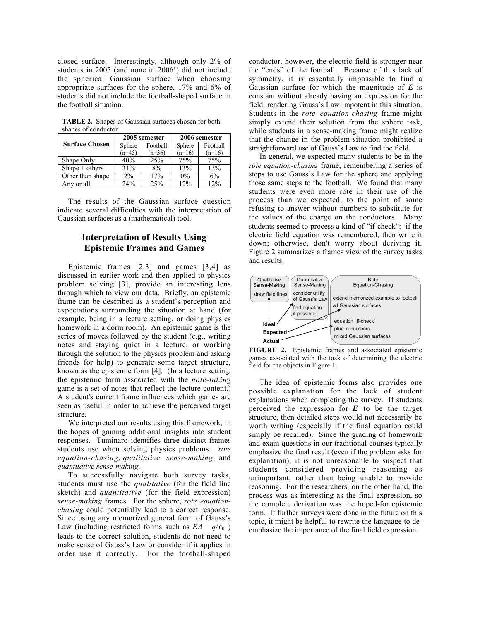closed surface. Interestingly, although only 2% of students in 2005 (and none in 2006!) did not include the spherical Gaussian surface when choosing appropriate surfaces for the sphere, 17% and 6% of students did not include the football-shaped surface in the football situation.

| <b>TABLE 2.</b> Shapes of Gaussian surfaces chosen for both |  |  |  |
|-------------------------------------------------------------|--|--|--|
| shapes of conductor                                         |  |  |  |

|                       |          | 2005 semester | 2006 semester |          |  |
|-----------------------|----------|---------------|---------------|----------|--|
| <b>Surface Chosen</b> | Sphere   | Football      | Sphere        | Football |  |
|                       | $(n=45)$ | $(n=36)$      | $(n=16)$      | $(n=16)$ |  |
| Shape Only            | 40%      | 25%           | 75%           | 75%      |  |
| $Shape + others$      | 31%      | 8%            | 13%           | 13%      |  |
| Other than shape      | $2\%$    | 17%           | $0\%$         | 6%       |  |
| Any or all            | 24%      | 25%           | 12%           | 12%      |  |

The results of the Gaussian surface question indicate several difficulties with the interpretation of Gaussian surfaces as a (mathematical) tool.

# **Interpretation of Results Using Epistemic Frames and Games**

Epistemic frames [2,3] and games [3,4] as discussed in earlier work and then applied to physics problem solving [3], provide an interesting lens through which to view our data. Briefly, an epistemic frame can be described as a student's perception and expectations surrounding the situation at hand (for example, being in a lecture setting, or doing physics homework in a dorm room). An epistemic game is the series of moves followed by the student (e.g., writing notes and staying quiet in a lecture, or working through the solution to the physics problem and asking friends for help) to generate some target structure, known as the epistemic form [4]. (In a lecture setting, the epistemic form associated with the *note-taking* game is a set of notes that reflect the lecture content.) A student's current frame influences which games are seen as useful in order to achieve the perceived target structure.

We interpreted our results using this framework, in the hopes of gaining additional insights into student responses. Tuminaro identifies three distinct frames students use when solving physics problems: *rote equation-chasing*, *qualitative sense-making*, and *quantitative sense-making*.

To successfully navigate both survey tasks, students must use the *qualitative* (for the field line sketch) and *quantitative* (for the field expression) *sense-making* frames. For the sphere, *rote equationchasing* could potentially lead to a correct response. Since using any memorized general form of Gauss's Law (including restricted forms such as  $EA = q/\varepsilon_0$ ) leads to the correct solution, students do not need to make sense of Gauss's Law or consider if it applies in order use it correctly. For the football-shaped conductor, however, the electric field is stronger near the "ends" of the football. Because of this lack of symmetry, it is essentially impossible to find a Gaussian surface for which the magnitude of *E* is constant without already having an expression for the field, rendering Gauss's Law impotent in this situation. Students in the *rote equation-chasing* frame might simply extend their solution from the sphere task, while students in a sense-making frame might realize that the change in the problem situation prohibited a straightforward use of Gauss's Law to find the field.

In general, we expected many students to be in the *rote equation-chasing* frame, remembering a series of steps to use Gauss's Law for the sphere and applying those same steps to the football. We found that many students were even more rote in their use of the process than we expected, to the point of some refusing to answer without numbers to substitute for the values of the charge on the conductors. Many students seemed to process a kind of "if-check": if the electric field equation was remembered, then write it down; otherwise, don't worry about deriving it. Figure 2 summarizes a frames view of the survey tasks and results.



**FIGURE 2.** Epistemic frames and associated epistemic games associated with the task of determining the electric field for the objects in Figure 1.

The idea of epistemic forms also provides one possible explanation for the lack of student explanations when completing the survey. If students perceived the expression for *E* to be the target structure, then detailed steps would not necessarily be worth writing (especially if the final equation could simply be recalled). Since the grading of homework and exam questions in our traditional courses typically emphasize the final result (even if the problem asks for explanation), it is not unreasonable to suspect that students considered providing reasoning as unimportant, rather than being unable to provide reasoning. For the researchers, on the other hand, the process was as interesting as the final expression, so the complete derivation was the hoped-for epistemic form. If further surveys were done in the future on this topic, it might be helpful to rewrite the language to deemphasize the importance of the final field expression.